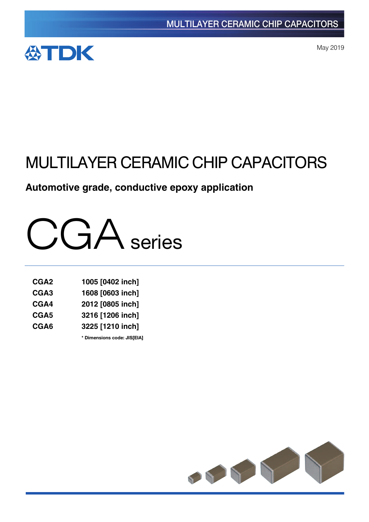

May 2019

# MULTILAYER CERAMIC CHIP CAPACITORS

# **Automotive grade, conductive epoxy application**



| CGA <sub>2</sub> | 1005 [0402 inch] |
|------------------|------------------|
| CGA3             | 1608 [0603 inch] |
| CGA4             | 2012 [0805 inch] |
| CGA5             | 3216 [1206 inch] |
| CGA6             | 3225 [1210 inch] |

**\*** Dimensions code: JIS[EIA]

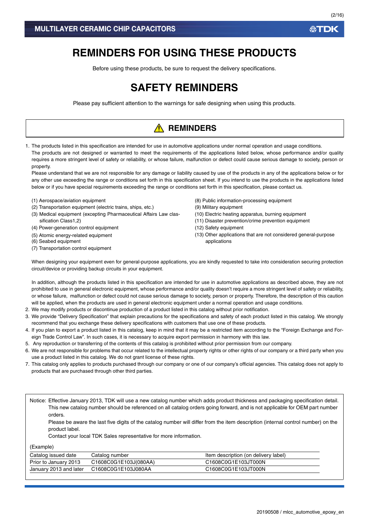# **REMINDERS FOR USING THESE PRODUCTS**

Before using these products, be sure to request the delivery specifications.

# **SAFETY REMINDERS**

Please pay sufficient attention to the warnings for safe designing when using this products.

# **A** REMINDERS

1. The products listed in this specification are intended for use in automotive applications under normal operation and usage conditions. The products are not designed or warranted to meet the requirements of the applications listed below, whose performance and/or quality requires a more stringent level of safety or reliability, or whose failure, malfunction or defect could cause serious damage to society, person or property.

Please understand that we are not responsible for any damage or liability caused by use of the products in any of the applications below or for any other use exceeding the range or conditions set forth in this specification sheet. If you intend to use the products in the applications listed below or if you have special requirements exceeding the range or conditions set forth in this specification, please contact us.

- (1) Aerospace/aviation equipment
- (2) Transportation equipment (electric trains, ships, etc.)
- (3) Medical equipment (excepting Pharmaceutical Affairs Law classification Class1,2)
- (4) Power-generation control equipment
- (5) Atomic energy-related equipment
- (6) Seabed equipment
- (7) Transportation control equipment
- (8) Public information-processing equipment
- (9) Military equipment
- (10) Electric heating apparatus, burning equipment
- (11) Disaster prevention/crime prevention equipment
- (12) Safety equipment
- (13) Other applications that are not considered general-purpose applications

When designing your equipment even for general-purpose applications, you are kindly requested to take into consideration securing protection circuit/device or providing backup circuits in your equipment.

In addition, although the products listed in this specification are intended for use in automotive applications as described above, they are not prohibited to use in general electronic equipment, whose performance and/or quality doesn't require a more stringent level of safety or reliability, or whose failure, malfunction or defect could not cause serious damage to society, person or property. Therefore, the description of this caution will be applied, when the products are used in general electronic equipment under a normal operation and usage conditions.

- 2. We may modify products or discontinue production of a product listed in this catalog without prior notification.
- 3. We provide "Delivery Specification" that explain precautions for the specifications and safety of each product listed in this catalog. We strongly recommend that you exchange these delivery specifications with customers that use one of these products.
- 4. If you plan to export a product listed in this catalog, keep in mind that it may be a restricted item according to the "Foreign Exchange and Foreign Trade Control Law". In such cases, it is necessary to acquire export permission in harmony with this law.
- 5. Any reproduction or transferring of the contents of this catalog is prohibited without prior permission from our company.
- 6. We are not responsible for problems that occur related to the intellectual property rights or other rights of our company or a third party when you use a product listed in this catalog. We do not grant license of these rights.
- 7. This catalog only applies to products purchased through our company or one of our company's official agencies. This catalog does not apply to products that are purchased through other third parties.

Notice: Effective January 2013, TDK will use a new catalog number which adds product thickness and packaging specification detail. This new catalog number should be referenced on all catalog orders going forward, and is not applicable for OEM part number orders.

Please be aware the last five digits of the catalog number will differ from the item description (internal control number) on the product label.

Contact your local TDK Sales representative for more information.

(Example)

| Catalog issued date    | Catalog number        | Item description (on delivery label) |
|------------------------|-----------------------|--------------------------------------|
| Prior to January 2013  | C1608C0G1E103J(080AA) | C1608C0G1E103JT000N                  |
| January 2013 and later | C1608C0G1E103J080AA   | C1608C0G1E103JT000N                  |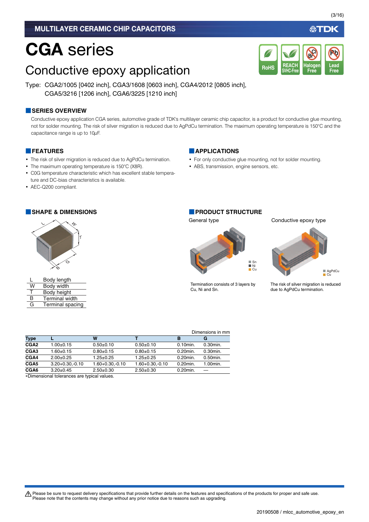# CGA series

# Conductive epoxy application

Type: CGA2/1005 [0402 inch], CGA3/1608 [0603 inch], CGA4/2012 [0805 inch], CGA5/3216 [1206 inch], CGA6/3225 [1210 inch]

#### **■SERIES OVERVIEW**

Conductive epoxy application CGA series, automotive grade of TDK's multilayer ceramic chip capacitor, is a product for conductive glue mounting, not for solder mounting. The risk of silver migration is reduced due to AgPdCu termination. The maximum operating temperature is 150°C and the capacitance range is up to 10µF.

#### **■FEATURES**

- The risk of silver migration is reduced due to AgPdCu termination.
- The maximum operating temperature is 150°C (X8R).
- C0G temperature characteristic which has excellent stable temperature and DC-bias characteristics is available.
- AEC-Q200 compliant.

#### **■SHAPE & DIMENSIONS ■PRODUCT STRUCTURE**



|   | Body length             |
|---|-------------------------|
| W | Body width              |
|   | Body height             |
| R | <b>Terminal width</b>   |
| G | <b>Terminal spacing</b> |

#### **■APPLICATIONS**

- For only conductive glue mounting, not for solder mounting.
- ABS, transmission, engine sensors, etc.

# General type Conductive epoxy type



Termination consists of 3 layers by Cu, Ni and Sn.

**REACH SVHC-Free**

RoHS SVHC-Free Free Free

**Halogen Free**

**Br Cl**



The risk of silver migration is reduced due to AgPdCu termination.

|                  |                      |                      |                      |             | Dimensions in mm |
|------------------|----------------------|----------------------|----------------------|-------------|------------------|
| <b>Type</b>      |                      | W                    |                      | в           | G                |
| CGA <sub>2</sub> | $1.00 \pm 0.15$      | $0.50+0.10$          | $0.50+0.10$          | $0.10$ min. | 0.30min.         |
| CGA <sub>3</sub> | 1.60±0.15            | $0.80 + 0.15$        | $0.80 + 0.15$        | 0.20min.    | $0.30$ min.      |
| CGA4             | $2.00+0.25$          | $1.25 \pm 0.25$      | $1.25 \pm 0.25$      | 0.20min.    | 0.50min.         |
| CGA <sub>5</sub> | $3.20 + 0.30 - 0.10$ | $1.60 + 0.30 - 0.10$ | $1.60 + 0.30 - 0.10$ | 0.20min.    | 1.00min.         |
| CGA6             | $3.20+0.45$          | $2.50+0.30$          | $2.50+0.30$          | 0.20min.    |                  |

Dimensional tolerances are typical values.

∰TDK

**Lead**

**Pb**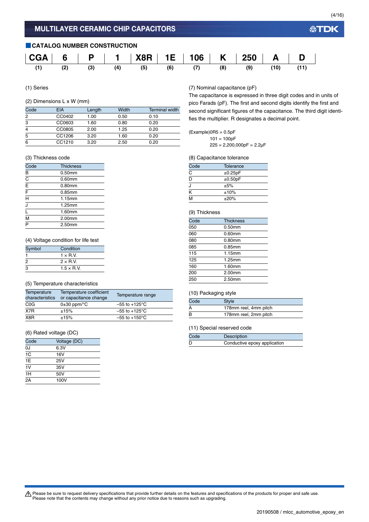#### **■CATALOG NUMBER CONSTRUCTION**



(1) Series

#### (2) Dimensions L x W (mm)

| Code           | <b>EIA</b> | Length | Width | <b>Terminal width</b> |
|----------------|------------|--------|-------|-----------------------|
| 2              | CC0402     | 1.00   | 0.50  | 0.10                  |
| 3              | CC0603     | 1.60   | 0.80  | 0.20                  |
| $\overline{4}$ | CC0805     | 2.00   | 1.25  | 0.20                  |
| 5              | CC1206     | 3.20   | 1.60  | 0.20                  |
| 6              | CC1210     | 3.20   | 2.50  | 0.20                  |

#### (3) Thickness code

| Code                               | <b>Thickness</b> |  |
|------------------------------------|------------------|--|
| B                                  | 0.50mm           |  |
| $\overline{C}$                     | $0.60$ mm        |  |
| $\frac{1}{E}$                      | $0.80$ mm        |  |
| $\overline{\overline{F}}$          | 0.85mm           |  |
| $\overline{\overline{H}}$          | 1.15mm           |  |
| J                                  | 1.25mm           |  |
| ī                                  | 1.60mm           |  |
| $\overline{\overline{\mathsf{M}}}$ | 2.00mm           |  |
| $\overline{\mathsf{P}}$            | 2.50mm           |  |

#### (4) Voltage condition for life test

| Symbol | Condition          |  |
|--------|--------------------|--|
|        | $1 \times R$ V     |  |
| 2      | $2 \times R$ V     |  |
| 3      | $1.5 \times R$ .V. |  |

#### (5) Temperature characteristics

| Temperature<br>characteristics | Temperature coefficient<br>or capacitance change | Temperature range         |
|--------------------------------|--------------------------------------------------|---------------------------|
| C <sub>0</sub> G               | $0\pm 30$ ppm/ $\degree$ C                       | $-55$ to $+125^{\circ}$ C |
| X7R                            | ±15%                                             | $-55$ to $+125^{\circ}$ C |
| X8R                            | ±15%                                             | $-55$ to $+150^{\circ}$ C |

#### (6) Rated voltage (DC)

| Code            | Voltage (DC) |
|-----------------|--------------|
| 0J              | 6.3V         |
| $\overline{1C}$ | 16V          |
| 1E              | 25V          |
| 1V              | 35V          |
| 1H              | 50V          |
| 2A              | 100V         |

#### (7) Nominal capacitance (pF)

The capacitance is expressed in three digit codes and in units of pico Farads (pF). The first and second digits identify the first and second significant figures of the capacitance. The third digit identifies the multiplier. R designates a decimal point.

 $(Example)$ OR5 = 0.5pF  $101 = 100pF$ 

 $225 = 2,200,000pF = 2.2\mu F$ 

(8) Capacitance tolerance

| Code | Tolerance |
|------|-----------|
| C    | ±0.25pF   |
| D    | ±0.50pF   |
| J    | ±5%       |
| K    | ±10%      |
| м    | ±20%      |

#### (9) Thickness

| Code | <b>Thickness</b> |  |
|------|------------------|--|
| 050  | 0.50mm           |  |
| 060  | 0.60mm           |  |
| 080  | 0.80mm           |  |
| 085  | 0.85mm           |  |
| 115  | 1.15mm           |  |
| 125  | 1.25mm           |  |
| 160  | 1.60mm           |  |
| 200  | 2.00mm           |  |
| 250  | 2.50mm           |  |
|      |                  |  |

#### (10) Packaging style

| Code | <b>Style</b>          |
|------|-----------------------|
|      | 178mm reel, 4mm pitch |
| B    | 178mm reel, 2mm pitch |

#### (11) Special reserved code

| Code | <b>Description</b>           |
|------|------------------------------|
|      | Conductive epoxy application |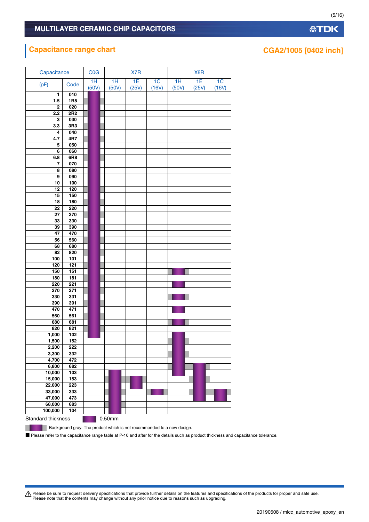# **Capacitance range chart CGA2/1005 [0402 inch]**

| Capacitance               |                  | COG         | X7R |             | X8R         |                         |             |             |             |
|---------------------------|------------------|-------------|-----|-------------|-------------|-------------------------|-------------|-------------|-------------|
| (pF)                      | Code             | 1H<br>(50V) |     | 1H<br>(50V) | 1E<br>(25V) | 1 <sub>C</sub><br>(16V) | 1H<br>(50V) | 1E<br>(25V) | 1C<br>(16V) |
| 1                         | 010              |             |     |             |             |                         |             |             |             |
| $1.5$                     | 1R5              |             |     |             |             |                         |             |             |             |
| $\bf{2}$                  | 020              |             |     |             |             |                         |             |             |             |
| 2.2                       | 2R2              |             |     |             |             |                         |             |             |             |
| 3                         | 030              |             |     |             |             |                         |             |             |             |
| 3.3                       | 3R3              |             |     |             |             |                         |             |             |             |
| 4                         | 040              |             |     |             |             |                         |             |             |             |
| 4.7                       | 4R7              |             |     |             |             |                         |             |             |             |
| 5                         | 050              |             |     |             |             |                         |             |             |             |
| 6                         | 060              |             |     |             |             |                         |             |             |             |
| 6.8                       | 6R8              |             |     |             |             |                         |             |             |             |
| 7                         | 070              |             |     |             |             |                         |             |             |             |
| 8                         | 080              |             |     |             |             |                         |             |             |             |
| 9                         | 090              |             |     |             |             |                         |             |             |             |
| 10                        | 100              |             |     |             |             |                         |             |             |             |
| 12                        | 120              |             |     |             |             |                         |             |             |             |
| 15                        | 150              |             |     |             |             |                         |             |             |             |
| 18                        | 180              |             |     |             |             |                         |             |             |             |
| 22                        | 220              |             |     |             |             |                         |             |             |             |
| 27                        | 270              |             |     |             |             |                         |             |             |             |
| 33                        | 330              |             |     |             |             |                         |             |             |             |
| 39                        | 390              |             |     |             |             |                         |             |             |             |
| 47                        | 470              |             |     |             |             |                         |             |             |             |
| 56                        | 560              |             |     |             |             |                         |             |             |             |
| 68<br>82                  | 680<br>820       |             |     |             |             |                         |             |             |             |
| 100                       | 101              |             |     |             |             |                         |             |             |             |
| 120                       | $\overline{121}$ |             |     |             |             |                         |             |             |             |
| 150                       | 151              |             |     |             |             |                         |             |             |             |
| 180                       | 181              |             |     |             |             |                         |             |             |             |
| 220                       | 221              |             |     |             |             |                         |             |             |             |
| 270                       | 271              |             |     |             |             |                         |             |             |             |
| 330                       | 331              |             |     |             |             |                         |             |             |             |
| 390                       | 391              |             |     |             |             |                         |             |             |             |
| 470                       | 471              |             |     |             |             |                         |             |             |             |
| 560                       | 561              |             |     |             |             |                         |             |             |             |
| 680                       | 681              |             |     |             |             |                         |             |             |             |
| 820                       | 821              |             |     |             |             |                         |             |             |             |
| 1,000                     | 102              |             |     |             |             |                         |             |             |             |
| 1,500                     | 152              |             |     |             |             |                         |             |             |             |
| 2,200                     | 222              |             |     |             |             |                         |             |             |             |
| 3,300                     | 332              |             |     |             |             |                         |             |             |             |
| 4,700                     | 472              |             |     |             |             |                         |             |             |             |
| 6,800                     | 682              |             |     |             |             |                         |             |             |             |
| 10,000                    | 103              |             |     |             |             |                         |             |             |             |
| 15,000                    | 153              |             |     |             |             |                         |             |             |             |
| 22,000                    | 223              |             |     |             |             |                         |             |             |             |
| 33,000                    | 333              |             |     |             |             |                         |             |             |             |
| 47,000                    | 473              |             |     |             |             |                         |             |             |             |
| 68,000                    | 683              |             |     |             |             |                         |             |             |             |
| 100,000                   | 104              |             |     |             |             |                         |             |             |             |
| <b>Standard thickness</b> |                  |             |     | 0.50mm      |             |                         |             |             |             |

**公TDK** 

(5/16)

Please be sure to request delivery specifications that provide further details on the features and specifications of the products for proper and safe use.<br>Please note that the contents may change without any prior notice d

■ Please refer to the capacitance range table at P-10 and after for the details such as product thickness and capacitance tolerance.

**Background gray: The product which is not recommended to a new design.** 

ш

20190508 / mlcc\_automotive\_epoxy\_en.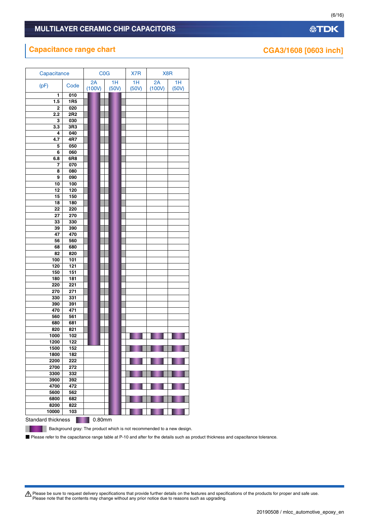# **Capacitance range chart CGA3/1608** [0603 inch]

| 2A<br>1H<br>1H<br>2A<br>1H<br>(pF)<br>Code<br>(100V)<br>(100V)<br>(50V)<br>(50V)<br>(50V)<br>010<br>1<br><b>1R5</b><br>1.5<br>020<br>2<br>2.2<br>2R <sub>2</sub><br>030<br>3<br>3R3<br>3.3<br>040<br>4<br>4R7<br>4.7<br>050<br>5<br>060<br>6<br>6R8<br>6.8<br>070<br>7<br>080<br>8<br>090<br>9<br>100<br>10<br>120<br>12<br>150<br>15<br>18<br>180<br>220<br>22<br>270<br>27<br>330<br>33<br>390<br>39<br>470<br>47<br>560<br>56<br>680<br>68<br>820<br>82<br>101<br>100<br>121<br>120<br>150<br>151<br>180<br>181<br>220<br>221<br>271<br>270<br>331<br>330<br>390<br>391<br>470<br>471<br>561<br>560<br>681<br>680<br>821<br>820<br>102<br>1000<br>1200<br>122<br>1500<br>152<br>1800<br>182<br>2200<br>222<br>2700<br>272<br>332<br>3300<br>3900<br>392<br>4700<br>472<br>562<br>5600<br>6800<br>682<br>822<br>8200<br>10000<br>103<br>Standard thickness<br>0.80mm | Capacitance | <b>C<sub>0</sub>G</b> | X7R | X8R |  |  |
|------------------------------------------------------------------------------------------------------------------------------------------------------------------------------------------------------------------------------------------------------------------------------------------------------------------------------------------------------------------------------------------------------------------------------------------------------------------------------------------------------------------------------------------------------------------------------------------------------------------------------------------------------------------------------------------------------------------------------------------------------------------------------------------------------------------------------------------------------------------------|-------------|-----------------------|-----|-----|--|--|
|                                                                                                                                                                                                                                                                                                                                                                                                                                                                                                                                                                                                                                                                                                                                                                                                                                                                        |             |                       |     |     |  |  |
|                                                                                                                                                                                                                                                                                                                                                                                                                                                                                                                                                                                                                                                                                                                                                                                                                                                                        |             |                       |     |     |  |  |
|                                                                                                                                                                                                                                                                                                                                                                                                                                                                                                                                                                                                                                                                                                                                                                                                                                                                        |             |                       |     |     |  |  |
|                                                                                                                                                                                                                                                                                                                                                                                                                                                                                                                                                                                                                                                                                                                                                                                                                                                                        |             |                       |     |     |  |  |
|                                                                                                                                                                                                                                                                                                                                                                                                                                                                                                                                                                                                                                                                                                                                                                                                                                                                        |             |                       |     |     |  |  |
|                                                                                                                                                                                                                                                                                                                                                                                                                                                                                                                                                                                                                                                                                                                                                                                                                                                                        |             |                       |     |     |  |  |
|                                                                                                                                                                                                                                                                                                                                                                                                                                                                                                                                                                                                                                                                                                                                                                                                                                                                        |             |                       |     |     |  |  |
|                                                                                                                                                                                                                                                                                                                                                                                                                                                                                                                                                                                                                                                                                                                                                                                                                                                                        |             |                       |     |     |  |  |
|                                                                                                                                                                                                                                                                                                                                                                                                                                                                                                                                                                                                                                                                                                                                                                                                                                                                        |             |                       |     |     |  |  |
|                                                                                                                                                                                                                                                                                                                                                                                                                                                                                                                                                                                                                                                                                                                                                                                                                                                                        |             |                       |     |     |  |  |
|                                                                                                                                                                                                                                                                                                                                                                                                                                                                                                                                                                                                                                                                                                                                                                                                                                                                        |             |                       |     |     |  |  |
|                                                                                                                                                                                                                                                                                                                                                                                                                                                                                                                                                                                                                                                                                                                                                                                                                                                                        |             |                       |     |     |  |  |
|                                                                                                                                                                                                                                                                                                                                                                                                                                                                                                                                                                                                                                                                                                                                                                                                                                                                        |             |                       |     |     |  |  |
|                                                                                                                                                                                                                                                                                                                                                                                                                                                                                                                                                                                                                                                                                                                                                                                                                                                                        |             |                       |     |     |  |  |
|                                                                                                                                                                                                                                                                                                                                                                                                                                                                                                                                                                                                                                                                                                                                                                                                                                                                        |             |                       |     |     |  |  |
|                                                                                                                                                                                                                                                                                                                                                                                                                                                                                                                                                                                                                                                                                                                                                                                                                                                                        |             |                       |     |     |  |  |
|                                                                                                                                                                                                                                                                                                                                                                                                                                                                                                                                                                                                                                                                                                                                                                                                                                                                        |             |                       |     |     |  |  |
|                                                                                                                                                                                                                                                                                                                                                                                                                                                                                                                                                                                                                                                                                                                                                                                                                                                                        |             |                       |     |     |  |  |
|                                                                                                                                                                                                                                                                                                                                                                                                                                                                                                                                                                                                                                                                                                                                                                                                                                                                        |             |                       |     |     |  |  |
|                                                                                                                                                                                                                                                                                                                                                                                                                                                                                                                                                                                                                                                                                                                                                                                                                                                                        |             |                       |     |     |  |  |
|                                                                                                                                                                                                                                                                                                                                                                                                                                                                                                                                                                                                                                                                                                                                                                                                                                                                        |             |                       |     |     |  |  |
|                                                                                                                                                                                                                                                                                                                                                                                                                                                                                                                                                                                                                                                                                                                                                                                                                                                                        |             |                       |     |     |  |  |
|                                                                                                                                                                                                                                                                                                                                                                                                                                                                                                                                                                                                                                                                                                                                                                                                                                                                        |             |                       |     |     |  |  |
|                                                                                                                                                                                                                                                                                                                                                                                                                                                                                                                                                                                                                                                                                                                                                                                                                                                                        |             |                       |     |     |  |  |
|                                                                                                                                                                                                                                                                                                                                                                                                                                                                                                                                                                                                                                                                                                                                                                                                                                                                        |             |                       |     |     |  |  |
|                                                                                                                                                                                                                                                                                                                                                                                                                                                                                                                                                                                                                                                                                                                                                                                                                                                                        |             |                       |     |     |  |  |
|                                                                                                                                                                                                                                                                                                                                                                                                                                                                                                                                                                                                                                                                                                                                                                                                                                                                        |             |                       |     |     |  |  |
|                                                                                                                                                                                                                                                                                                                                                                                                                                                                                                                                                                                                                                                                                                                                                                                                                                                                        |             |                       |     |     |  |  |
|                                                                                                                                                                                                                                                                                                                                                                                                                                                                                                                                                                                                                                                                                                                                                                                                                                                                        |             |                       |     |     |  |  |
|                                                                                                                                                                                                                                                                                                                                                                                                                                                                                                                                                                                                                                                                                                                                                                                                                                                                        |             |                       |     |     |  |  |
|                                                                                                                                                                                                                                                                                                                                                                                                                                                                                                                                                                                                                                                                                                                                                                                                                                                                        |             |                       |     |     |  |  |
|                                                                                                                                                                                                                                                                                                                                                                                                                                                                                                                                                                                                                                                                                                                                                                                                                                                                        |             |                       |     |     |  |  |
|                                                                                                                                                                                                                                                                                                                                                                                                                                                                                                                                                                                                                                                                                                                                                                                                                                                                        |             |                       |     |     |  |  |
|                                                                                                                                                                                                                                                                                                                                                                                                                                                                                                                                                                                                                                                                                                                                                                                                                                                                        |             |                       |     |     |  |  |
|                                                                                                                                                                                                                                                                                                                                                                                                                                                                                                                                                                                                                                                                                                                                                                                                                                                                        |             |                       |     |     |  |  |
|                                                                                                                                                                                                                                                                                                                                                                                                                                                                                                                                                                                                                                                                                                                                                                                                                                                                        |             |                       |     |     |  |  |
|                                                                                                                                                                                                                                                                                                                                                                                                                                                                                                                                                                                                                                                                                                                                                                                                                                                                        |             |                       |     |     |  |  |
|                                                                                                                                                                                                                                                                                                                                                                                                                                                                                                                                                                                                                                                                                                                                                                                                                                                                        |             |                       |     |     |  |  |
|                                                                                                                                                                                                                                                                                                                                                                                                                                                                                                                                                                                                                                                                                                                                                                                                                                                                        |             |                       |     |     |  |  |
|                                                                                                                                                                                                                                                                                                                                                                                                                                                                                                                                                                                                                                                                                                                                                                                                                                                                        |             |                       |     |     |  |  |
|                                                                                                                                                                                                                                                                                                                                                                                                                                                                                                                                                                                                                                                                                                                                                                                                                                                                        |             |                       |     |     |  |  |
|                                                                                                                                                                                                                                                                                                                                                                                                                                                                                                                                                                                                                                                                                                                                                                                                                                                                        |             |                       |     |     |  |  |
|                                                                                                                                                                                                                                                                                                                                                                                                                                                                                                                                                                                                                                                                                                                                                                                                                                                                        |             |                       |     |     |  |  |
|                                                                                                                                                                                                                                                                                                                                                                                                                                                                                                                                                                                                                                                                                                                                                                                                                                                                        |             |                       |     |     |  |  |
|                                                                                                                                                                                                                                                                                                                                                                                                                                                                                                                                                                                                                                                                                                                                                                                                                                                                        |             |                       |     |     |  |  |
|                                                                                                                                                                                                                                                                                                                                                                                                                                                                                                                                                                                                                                                                                                                                                                                                                                                                        |             |                       |     |     |  |  |
|                                                                                                                                                                                                                                                                                                                                                                                                                                                                                                                                                                                                                                                                                                                                                                                                                                                                        |             |                       |     |     |  |  |
|                                                                                                                                                                                                                                                                                                                                                                                                                                                                                                                                                                                                                                                                                                                                                                                                                                                                        |             |                       |     |     |  |  |
|                                                                                                                                                                                                                                                                                                                                                                                                                                                                                                                                                                                                                                                                                                                                                                                                                                                                        |             |                       |     |     |  |  |
|                                                                                                                                                                                                                                                                                                                                                                                                                                                                                                                                                                                                                                                                                                                                                                                                                                                                        |             |                       |     |     |  |  |
|                                                                                                                                                                                                                                                                                                                                                                                                                                                                                                                                                                                                                                                                                                                                                                                                                                                                        |             |                       |     |     |  |  |
|                                                                                                                                                                                                                                                                                                                                                                                                                                                                                                                                                                                                                                                                                                                                                                                                                                                                        |             |                       |     |     |  |  |
|                                                                                                                                                                                                                                                                                                                                                                                                                                                                                                                                                                                                                                                                                                                                                                                                                                                                        |             |                       |     |     |  |  |
|                                                                                                                                                                                                                                                                                                                                                                                                                                                                                                                                                                                                                                                                                                                                                                                                                                                                        |             |                       |     |     |  |  |

٠

**Background gray: The product which is not recommended to a new design.** 

■ Please refer to the capacitance range table at P-10 and after for the details such as product thickness and capacitance tolerance.

Please be sure to request delivery specifications that provide further details on the features and specifications of the products for proper and safe use.<br>Please note that the contents may change without any prior notice d

(6/16)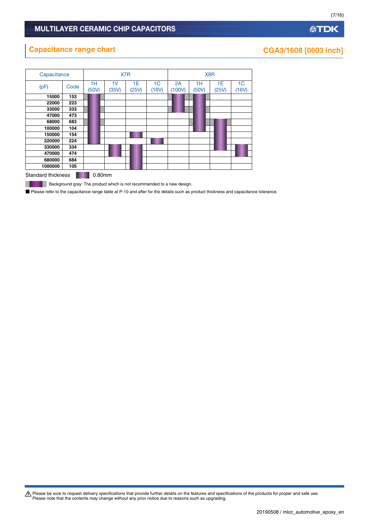# **Capacitance range chart CGA3/1608** [0603 inch]

| Capacitance               |      |             | X7 <sub>R</sub> |             | X <sub>8</sub> R        |              |             |             |                         |
|---------------------------|------|-------------|-----------------|-------------|-------------------------|--------------|-------------|-------------|-------------------------|
| (pF)                      | Code | 1H<br>(50V) | 1V<br>(35V)     | 1E<br>(25V) | 1 <sub>C</sub><br>(16V) | 2A<br>(100V) | 1H<br>(50V) | 1E<br>(25V) | 1 <sub>C</sub><br>(16V) |
| 15000                     | 153  |             |                 |             |                         |              |             |             |                         |
| 22000                     | 223  |             |                 |             |                         |              |             |             |                         |
| 33000                     | 333  |             |                 |             |                         |              |             |             |                         |
| 47000                     | 473  |             |                 |             |                         |              |             |             |                         |
| 68000                     | 683  |             |                 |             |                         |              |             |             |                         |
| 100000                    | 104  |             |                 |             |                         |              |             |             |                         |
| 150000                    | 154  |             |                 |             |                         |              |             |             |                         |
| 220000                    | 224  |             |                 |             |                         |              |             |             |                         |
| 330000                    | 334  |             |                 |             |                         |              |             |             |                         |
| 470000                    | 474  |             |                 |             |                         |              |             |             |                         |
| 680000                    | 684  |             |                 |             |                         |              |             |             |                         |
| 1000000                   | 105  |             |                 |             |                         |              |             |             |                         |
| <b>Standard thickness</b> |      | 0.80mm      |                 |             |                         |              |             |             |                         |

**Background gray: The product which is not recommended to a new design.** ш

■ Please refer to the capacitance range table at P-10 and after for the details such as product thickness and capacitance tolerance.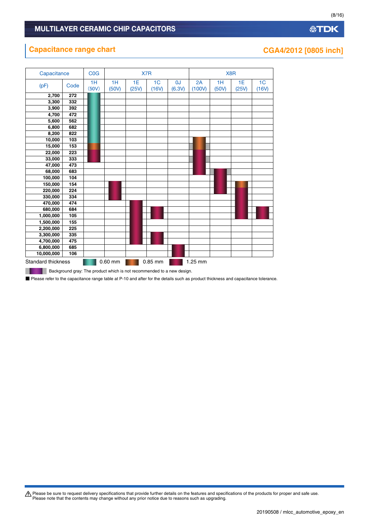# **Capacitance range chart CGA4/2012** [0805 inch]

| Capacitance               |      | <b>C<sub>O</sub></b> G |             |             | X7R                     |              |              | X <sub>8</sub> R |             |                         |  |
|---------------------------|------|------------------------|-------------|-------------|-------------------------|--------------|--------------|------------------|-------------|-------------------------|--|
| (pF)                      | Code | 1H<br>(50V)            | 1H<br>(50V) | 1E<br>(25V) | 1 <sub>C</sub><br>(16V) | 0J<br>(6.3V) | 2A<br>(100V) | 1H<br>(50V)      | 1E<br>(25V) | 1 <sub>C</sub><br>(16V) |  |
| 2,700                     | 272  |                        |             |             |                         |              |              |                  |             |                         |  |
| 3,300                     | 332  |                        |             |             |                         |              |              |                  |             |                         |  |
| 3,900                     | 392  |                        |             |             |                         |              |              |                  |             |                         |  |
| 4,700                     | 472  |                        |             |             |                         |              |              |                  |             |                         |  |
| 5,600                     | 562  |                        |             |             |                         |              |              |                  |             |                         |  |
| 6,800                     | 682  |                        |             |             |                         |              |              |                  |             |                         |  |
| 8,200                     | 822  |                        |             |             |                         |              |              |                  |             |                         |  |
| 10,000                    | 103  |                        |             |             |                         |              |              |                  |             |                         |  |
| 15,000                    | 153  |                        |             |             |                         |              |              |                  |             |                         |  |
| 22,000                    | 223  |                        |             |             |                         |              |              |                  |             |                         |  |
| 33,000                    | 333  |                        |             |             |                         |              |              |                  |             |                         |  |
| 47,000                    | 473  |                        |             |             |                         |              |              |                  |             |                         |  |
| 68,000                    | 683  |                        |             |             |                         |              |              |                  |             |                         |  |
| 100,000                   | 104  |                        |             |             |                         |              |              |                  |             |                         |  |
| 150,000                   | 154  |                        |             |             |                         |              |              |                  |             |                         |  |
| 220,000                   | 224  |                        |             |             |                         |              |              |                  |             |                         |  |
| 330,000                   | 334  |                        |             |             |                         |              |              |                  |             |                         |  |
| 470,000                   | 474  |                        |             |             |                         |              |              |                  |             |                         |  |
| 680,000                   | 684  |                        |             |             |                         |              |              |                  |             |                         |  |
| 1,000,000                 | 105  |                        |             |             |                         |              |              |                  |             |                         |  |
| 1,500,000                 | 155  |                        |             |             |                         |              |              |                  |             |                         |  |
| 2,200,000                 | 225  |                        |             |             |                         |              |              |                  |             |                         |  |
| 3,300,000                 | 335  |                        |             |             |                         |              |              |                  |             |                         |  |
| 4,700,000                 | 475  |                        |             |             |                         |              |              |                  |             |                         |  |
| 6,800,000                 | 685  |                        |             |             |                         |              |              |                  |             |                         |  |
| 10,000,000                | 106  |                        |             |             |                         |              |              |                  |             |                         |  |
| <b>Standard thickness</b> |      |                        | 0.60 mm     |             | 0.85 mm                 |              | 1.25 mm      |                  |             |                         |  |

**Background gray: The product which is not recommended to a new design.** П

■ Please refer to the capacitance range table at P-10 and after for the details such as product thickness and capacitance tolerance.

Please be sure to request delivery specifications that provide further details on the features and specifications of the products for proper and safe use.<br>Please note that the contents may change without any prior notice d

(8/16)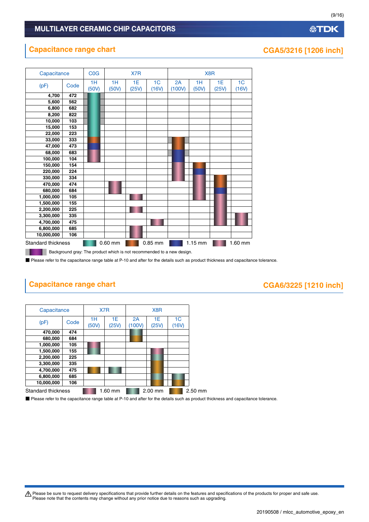#### **Capacitance range chart CGA5/3216 [1206 inch]**



**Background gray: The product which is not recommended to a new design.** 

■ Please refer to the capacitance range table at P-10 and after for the details such as product thickness and capacitance tolerance.

# **Capacitance range chart CGA6/3225 [1210 inch]**

ш

| Capacitance        |      |             | X7 <sub>R</sub> |              |             |                         |         |
|--------------------|------|-------------|-----------------|--------------|-------------|-------------------------|---------|
| (pF)               | Code | 1H<br>(50V) | 1E<br>(25V)     | 2A<br>(100V) | 1E<br>(25V) | 1 <sup>C</sup><br>(16V) |         |
| 470,000            | 474  |             |                 |              |             |                         |         |
| 680,000            | 684  |             |                 |              |             |                         |         |
| 1,000,000          | 105  |             |                 |              |             |                         |         |
| 1,500,000          | 155  |             |                 |              |             |                         |         |
| 2,200,000          | 225  |             |                 |              |             |                         |         |
| 3,300,000          | 335  |             |                 |              |             |                         |         |
| 4,700,000          | 475  |             |                 |              |             |                         |         |
| 6,800,000          | 685  |             |                 |              |             |                         |         |
| 10,000,000         | 106  |             |                 |              |             |                         |         |
| Standard thickness |      |             | 1.60 mm         |              | 2.00 mm     |                         | 2.50 mm |

■ Please refer to the capacitance range table at P-10 and after for the details such as product thickness and capacitance tolerance.

t Please be sure to request delivery specifications that provide further details on the features and specifications of the products for proper and safe use. Please note that the contents may change without any prior notice due to reasons such as upgrading.

(9/16)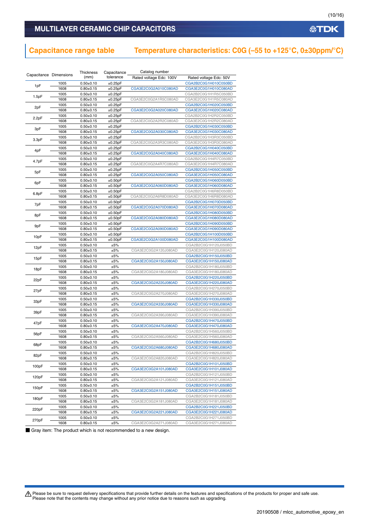### MULTILAYER CERAMIC CHIP CAPACITORS

# **Capacitance range table Temperature characteristics: C0G (–55 to +125°C, 0±30ppm/°C)**

| Capacitance Dimensions |              | Thickness                      | Capacitance | Catalog number          |                                              |
|------------------------|--------------|--------------------------------|-------------|-------------------------|----------------------------------------------|
|                        |              | (mm)                           | tolerance   | Rated voltage Edc: 100V | Rated voltage Edc: 50V                       |
| 1pF                    | 1005         | $0.50 + 0.10$                  | ±0.25pF     |                         | CGA2B2C0G1H010C050BD                         |
|                        | 1608         | $0.80 + 0.15$                  | ±0.25pF     | CGA3E2C0G2A010C080AD    | CGA3E2C0G1H010C080AD                         |
| 1.5pF                  | 1005         | $0.50 + 0.10$                  | ±0.25pF     |                         | CGA2B2C0G1H1R5C050BD                         |
|                        | 1608         | $0.80 + 0.15$                  | ±0.25pF     | CGA3E2C0G2A1R5C080AD    | CGA3E2C0G1H1R5C080AD                         |
| 2pF                    | 1005         | $0.50 + 0.10$                  | ±0.25pF     |                         | CGA2B2C0G1H020C050BD                         |
|                        | 1608         | $0.80 + 0.15$                  | ±0.25pF     | CGA3E2C0G2A020C080AD    | CGA3E2C0G1H020C080AD                         |
| 2.2pF                  | 1005         | $0.50+0.10$                    | ±0.25pF     |                         | CGA2B2C0G1H2R2C050BD                         |
|                        | 1608         | $0.80 + 0.15$                  | ±0.25pF     | CGA3E2C0G2A2R2C080AD    | CGA3E2C0G1H2R2C080AD                         |
| 3pF                    | 1005         | $0.50+0.10$                    | ±0.25pF     |                         | CGA2B2C0G1H030C050BD                         |
|                        | 1608         | $0.80 + 0.15$                  | ±0.25pF     | CGA3E2C0G2A030C080AD    | CGA3E2C0G1H030C080AD                         |
| 3.3pF                  | 1005         | $0.50+0.10$                    | ±0.25pF     |                         | CGA2B2C0G1H3R3C050BD                         |
|                        | 1608         | $0.80 + 0.15$                  | ±0.25pF     | CGA3E2C0G2A3R3C080AD    | CGA3E2C0G1H3R3C080AD                         |
| 4pF                    | 1005         | $0.50 + 0.10$                  | ±0.25pF     |                         | CGA2B2C0G1H040C050BD                         |
|                        | 1608         | $0.80 + 0.15$                  | ±0.25pF     | CGA3E2C0G2A040C080AD    | CGA3E2C0G1H040C080AD                         |
| 4.7pF                  | 1005         | $0.50 + 0.10$                  | ±0.25pF     |                         | CGA2B2C0G1H4R7C050BD                         |
|                        | 1608         | $0.80 + 0.15$                  | ±0.25pF     | CGA3E2C0G2A4R7C080AD    | CGA3E2C0G1H4R7C080AD                         |
| 5pF                    | 1005         | $0.50 + 0.10$                  | ±0.25pF     |                         | CGA2B2C0G1H050C050BD                         |
|                        | 1608         | $0.80 + 0.15$                  | ±0.25pF     | CGA3E2C0G2A050C080AD    | CGA3E2C0G1H050C080AD                         |
| 6pF                    | 1005         | $0.50+0.10$                    | ±0.50pF     |                         | CGA2B2C0G1H060D050BD                         |
|                        | 1608         | $0.80 \pm 0.15$                | ±0.50pF     | CGA3E2C0G2A060D080AD    | CGA3E2C0G1H060D080AD                         |
| 6.8pF                  | 1005         | $0.50+0.10$                    | ±0.50pF     |                         | CGA2B2C0G1H6R8D050BD                         |
|                        | 1608         | $0.80 + 0.15$                  | ±0.50pF     | CGA3E2C0G2A6R8D080AD    | CGA3E2C0G1H6R8D080AD                         |
| 7pF                    | 1005         | $0.50 + 0.10$                  | ±0.50pF     |                         | CGA2B2C0G1H070D050BD                         |
|                        | 1608         | $0.80 + 0.15$                  | ±0.50pF     | CGA3E2C0G2A070D080AD    | CGA3E2C0G1H070D080AD                         |
| 8pF                    | 1005         | $0.50 + 0.10$                  | ±0.50pF     |                         | CGA2B2C0G1H080D050BD                         |
|                        | 1608         | $0.80 + 0.15$                  | ±0.50pF     | CGA3E2C0G2A080D080AD    | CGA3E2C0G1H080D080AD                         |
| 9pF                    | 1005         | $0.50 + 0.10$                  | ±0.50pF     |                         | CGA2B2C0G1H090D050BD                         |
|                        | 1608         | $0.80 + 0.15$                  | ±0.50pF     | CGA3E2C0G2A090D080AD    | CGA3E2C0G1H090D080AD                         |
| 10pF                   | 1005         | $0.50+0.10$                    | ±0.50pF     |                         | CGA2B2C0G1H100D050BD                         |
|                        | 1608         | $0.80 \pm 0.15$                | ±0.50pF     | CGA3E2C0G2A100D080AD    | CGA3E2C0G1H100D080AD                         |
| 12pF                   | 1005         | $0.50 + 0.10$                  | ±5%         |                         | CGA2B2C0G1H120J050BD                         |
|                        | 1608         | $0.80 + 0.15$                  | ±5%         | CGA3E2C0G2A120J080AD    | CGA3E2C0G1H120J080AD                         |
| 15pF                   | 1005         | $0.50 + 0.10$                  | ±5%         |                         | CGA2B2C0G1H150J050BD                         |
|                        | 1608         | $0.80 + 0.15$                  | ±5%         | CGA3E2C0G2A150J080AD    | CGA3E2C0G1H150J080AD                         |
| 18pF                   | 1005         | $0.50 + 0.10$                  | ±5%         |                         | CGA2B2C0G1H180J050BD                         |
|                        | 1608         | $0.80 + 0.15$                  | ±5%         | CGA3E2C0G2A180J080AD    | CGA3E2C0G1H180J080AD                         |
| 22pF                   | 1005         | $0.50+0.10$                    | ±5%         |                         | CGA2B2C0G1H220J050BD                         |
|                        | 1608         | $0.80 + 0.15$                  | ±5%         | CGA3E2C0G2A220J080AD    | CGA3E2C0G1H220J080AD                         |
| 27pF                   | 1005         | $0.50+0.10$                    | ±5%         |                         | CGA2B2C0G1H270J050BD                         |
|                        | 1608         | $0.80 \pm 0.15$                | ±5%         | CGA3E2C0G2A270J080AD    | CGA3E2C0G1H270J080AD                         |
| 33pF                   | 1005         | $0.50 + 0.10$                  | ±5%         |                         | CGA2B2C0G1H330J050BD                         |
|                        | 1608         | $0.80 + 0.15$                  | ±5%         | CGA3E2C0G2A330J080AD    | CGA3E2C0G1H330J080AD                         |
| 39pF                   | 1005         | $0.50 + 0.10$                  | ±5%         |                         | CGA2B2C0G1H390J050BD                         |
|                        | 1608         | $0.80 + 0.15$                  | ±5%         | CGA3E2C0G2A390J080AD    | CGA3E2C0G1H390J080AD<br>CGA2B2C0G1H470J050BD |
| 47pF                   | 1005<br>1608 | $0.50 + 0.10$<br>$0.80 + 0.15$ | ±5%<br>±5%  | CGA3E2C0G2A470J080AD    | CGA3E2C0G1H470J080AD                         |
|                        | 1005         | $0.50+0.10$                    | ±5%         |                         | CGA2B2C0G1H560J050BD                         |
| 56pF                   | 1608         | $0.80 + 0.15$                  | ±5%         | CGA3E2C0G2A560J080AD    | CGA3E2C0G1H560J080AD                         |
|                        | 1005         | $0.50+0.10$                    | ±5%         |                         | CGA2B2C0G1H680J050BD                         |
| 68pF                   | 1608         | $0.80 \pm 0.15$                | ±5%         |                         | CGA3E2C0G1H680J080AD                         |
|                        | 1005         | $0.50 \pm 0.10$                | ±5%         | CGA3E2C0G2A680J080AD    | CGA2B2C0G1H820J050BD                         |
| 82pF                   | 1608         | $0.80 + 0.15$                  | ±5%         | CGA3E2C0G2A820J080AD    | CGA3E2C0G1H820J080AD                         |
|                        | 1005         | $0.50 + 0.10$                  | ±5%         |                         | CGA2B2C0G1H101J050BD                         |
| 100pF                  | 1608         | $0.80 + 0.15$                  | ±5%         | CGA3E2C0G2A101J080AD    | CGA3E2C0G1H101J080AD                         |
|                        | 1005         | $0.50 + 0.10$                  | ±5%         |                         | CGA2B2C0G1H121J050BD                         |
| 120pF                  | 1608         | $0.80 \pm 0.15$                | ±5%         | CGA3E2C0G2A121J080AD    | CGA3E2C0G1H121J080AD                         |
|                        | 1005         | $0.50+0.10$                    | ±5%         |                         | CGA2B2C0G1H151J050BD                         |
| 150pF                  | 1608         | $0.80 \pm 0.15$                | ±5%         | CGA3E2C0G2A151J080AD    | CGA3E2C0G1H151J080AD                         |
|                        | 1005         | $0.50 + 0.10$                  | ±5%         |                         | CGA2B2C0G1H181J050BD                         |
| 180pF                  | 1608         | $0.80 + 0.15$                  | ±5%         | CGA3E2C0G2A181J080AD    | CGA3E2C0G1H181J080AD                         |
|                        | 1005         | $0.50 + 0.10$                  | ±5%         |                         | CGA2B2C0G1H221J050BD                         |
| 220pF                  | 1608         | $0.80 + 0.15$                  | ±5%         | CGA3E2C0G2A221J080AD    | CGA3E2C0G1H221J080AD                         |
|                        | 1005         | $0.50 + 0.10$                  | ±5%         |                         | CGA2B2C0G1H271J050BD                         |
| 270pF                  | 1608         | $0.80 + 0.15$                  | ±5%         | CGA3E2C0G2A271J080AD    | CGA3E2C0G1H271J080AD                         |
|                        |              |                                |             |                         |                                              |

■ Gray item: The product which is not recommended to a new design.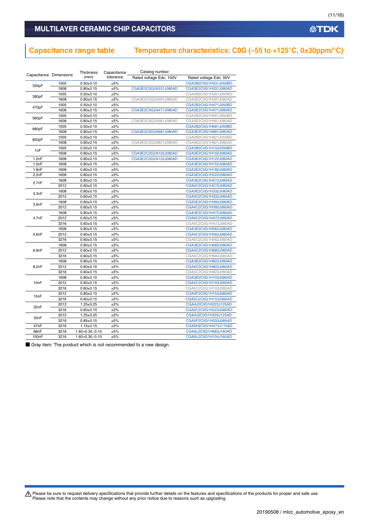### MULTILAYER CERAMIC CHIP CAPACITORS

# **Capacitance range table Temperature characteristics: C0G (–55 to +125°C, 0±30ppm/°C)**

| Capacitance Dimensions |      | Thickness            | Capacitance | Catalog number          |                        |
|------------------------|------|----------------------|-------------|-------------------------|------------------------|
|                        |      | (mm)                 | tolerance   | Rated voltage Edc: 100V | Rated voltage Edc: 50V |
| 330pF                  | 1005 | $0.50+0.10$          | ±5%         |                         | CGA2B2C0G1H331J050BD   |
|                        | 1608 | $0.80 + 0.15$        | ±5%         | CGA3E2C0G2A331J080AD    | CGA3E2C0G1H331J080AD   |
| 390pF                  | 1005 | $0.50 + 0.10$        | ±5%         |                         | CGA2B2C0G1H391J050BD   |
|                        | 1608 | $0.80 + 0.15$        | ±5%         | CGA3E2C0G2A391J080AD    | CGA3E2C0G1H391J080AD   |
| 470pF                  | 1005 | $0.50 + 0.10$        | ±5%         |                         | CGA2B2C0G1H471J050BD   |
|                        | 1608 | $0.80 + 0.15$        | $\pm 5\%$   | CGA3E2C0G2A471J080AD    | CGA3E2C0G1H471J080AD   |
| 560pF                  | 1005 | $0.50 + 0.10$        | ±5%         |                         | CGA2B2C0G1H561J050BD   |
|                        | 1608 | $0.80 + 0.15$        | ±5%         | CGA3E2C0G2A561J080AD    | CGA3E2C0G1H561J080AD   |
| 680pF                  | 1005 | $0.50 + 0.10$        | $\pm 5\%$   |                         | CGA2B2C0G1H681J050BD   |
|                        | 1608 | $0.80 + 0.15$        | $\pm 5\%$   | CGA3E2C0G2A681J080AD    | CGA3E2C0G1H681J080AD   |
| 820pF                  | 1005 | $0.50 + 0.10$        | ±5%         |                         | CGA2B2C0G1H821J050BD   |
|                        | 1608 | $0.80 + 0.15$        | ±5%         | CGA3E2C0G2A821J080AD    | CGA3E2C0G1H821J080AD   |
| 1 <sub>nF</sub>        | 1005 | $0.50 + 0.10$        | $\pm 5\%$   |                         | CGA2B2C0G1H102J050BD   |
|                        | 1608 | $0.80 + 0.15$        | ±5%         | CGA3E2C0G2A102J080AD    | CGA3E2C0G1H102J080AD   |
| 1.2nF                  | 1608 | $0.80 + 0.15$        | ±5%         | CGA3E2C0G2A122J080AD    | CGA3E2C0G1H122J080AD   |
| 1.5nF                  | 1608 | $0.80 + 0.15$        | $\pm 5\%$   |                         | CGA3E2C0G1H152J080AD   |
| 1.8nF                  | 1608 | $0.80 + 0.15$        | $\pm 5\%$   |                         | CGA3E2C0G1H182J080AD   |
| 2.2nF                  | 1608 | $0.80 + 0.15$        | ±5%         |                         | CGA3E2C0G1H222J080AD   |
|                        | 1608 | $0.80 + 0.15$        | ±5%         |                         | CGA3E2C0G1H272J080AD   |
| 2.7nF                  | 2012 | $0.60 \pm 0.15$      | $\pm 5\%$   |                         | CGA4C2C0G1H272J060AD   |
|                        | 1608 | $0.80 + 0.15$        | $\pm 5\%$   |                         | CGA3E2C0G1H332J080AD   |
| 3.3nF                  | 2012 | $0.60 + 0.15$        | ±5%         |                         | CGA4C2C0G1H332J060AD   |
|                        | 1608 | $0.80 + 0.15$        | ±5%         |                         | CGA3E2C0G1H392J080AD   |
| 3.9nF                  | 2012 | $0.60 \pm 0.15$      | $\pm 5\%$   |                         | CGA4C2C0G1H392J060AD   |
|                        | 1608 | $0.80 + 0.15$        | ±5%         |                         | CGA3E2C0G1H472J080AD   |
| 4.7nF                  | 2012 | $0.60 + 0.15$        | ±5%         |                         | CGA4C2C0G1H472J060AD   |
|                        | 3216 | $0.60 + 0.15$        | ±5%         |                         | CGA5C2C0G1H472J060AD   |
|                        | 1608 | $0.80 + 0.15$        | $\pm 5\%$   |                         | CGA3E2C0G1H562J080AD   |
| 5.6nF                  | 2012 | $0.60 + 0.15$        | ±5%         |                         | CGA4C2C0G1H562J060AD   |
|                        | 3216 | $0.60 \pm 0.15$      | ±5%         |                         | CGA5C2C0G1H562J060AD   |
|                        | 1608 | $0.80 + 0.15$        | ±5%         |                         | CGA3E2C0G1H682J080AD   |
| 6.8nF                  | 2012 | $0.60 + 0.15$        | ±5%         |                         | CGA4C2C0G1H682J060AD   |
|                        | 3216 | $0.60 + 0.15$        | ±5%         |                         | CGA5C2C0G1H682J060AD   |
|                        | 1608 | $0.80 + 0.15$        | ±5%         |                         | CGA3E2C0G1H822J080AD   |
| 8.2nF                  | 2012 | $0.60 + 0.15$        | ±5%         |                         | CGA4C2C0G1H822J060AD   |
|                        | 3216 | $0.60 + 0.15$        | ±5%         |                         | CGA5C2C0G1H822J060AD   |
|                        | 1608 | $0.80 + 0.15$        | $\pm 5\%$   |                         | CGA3E2C0G1H103J080AD   |
| 10nF                   | 2012 | $0.60 + 0.15$        | ±5%         |                         | CGA4C2C0G1H103J060AD   |
|                        | 3216 | $0.60 + 0.15$        | ±5%         |                         | CGA5C2C0G1H103J060AD   |
|                        | 2012 | $0.85 \pm 0.15$      | ±5%         |                         | CGA4F2C0G1H153J085AD   |
| 15nF                   | 3216 | $0.60 \pm 0.15$      | ±5%         |                         | CGA5C2C0G1H153J060AD   |
|                        | 2012 | $1.25 \pm 0.25$      | $\pm 5\%$   |                         | CGA4J2C0G1H223J125AD   |
| 22nF                   | 3216 | $0.60 + 0.15$        | ±5%         |                         | CGA5C2C0G1H223J060AD   |
|                        | 2012 | $1.25 \pm 0.25$      | ±5%         |                         | CGA4J2C0G1H333J125AD   |
| 33nF                   | 3216 | $0.85 \pm 0.15$      | $\pm 5\%$   |                         | CGA5F2C0G1H333J085AD   |
| 47nF                   | 3216 | $1.15 \pm 0.15$      | ±5%         |                         | CGA5H2C0G1H473J115AD   |
| 68nF                   | 3216 | $1.60 + 0.30, -0.10$ | ±5%         |                         | CGA5L2C0G1H683J160AD   |
| 100 <sub>n</sub> F     | 3216 | $1.60 + 0.30, -0.10$ | ±5%         |                         | CGA5L2C0G1H104J160AD   |

■ Gray item: The product which is not recommended to a new design.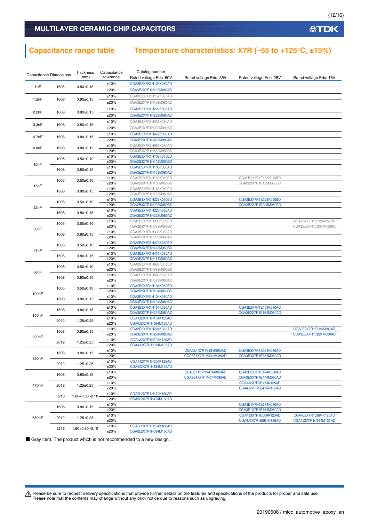### **Capacitance range table Temperature characteristics: X7R (–55 to +125°C, ±15%)**

| <b>Capacitance Dimensions</b> |      | Thickness<br>(mm)    | Capacitance<br>tolerance | Catalog number<br>Rated voltage Edc: 50V     | Rated voltage Edc: 35V                       | Rated voltage Edc: 25V                       | Rated voltage Edc: 16V |
|-------------------------------|------|----------------------|--------------------------|----------------------------------------------|----------------------------------------------|----------------------------------------------|------------------------|
|                               |      |                      | ±10%                     | CGA3E2X7R1H102K080AD                         |                                              |                                              |                        |
| 1nF                           | 1608 | $0.80 \pm 0.15$      | ±20%                     | CGA3E2X7R1H102M080AD                         |                                              |                                              |                        |
|                               |      |                      | ±10%                     | CGA3E2X7R1H152K080AD                         |                                              |                                              |                        |
| 1.5nF                         | 1608 | $0.80 + 0.15$        |                          |                                              |                                              |                                              |                        |
|                               |      |                      | ±20%                     | CGA3E2X7R1H152M080AD                         |                                              |                                              |                        |
| 2.2nF                         | 1608 | $0.80 + 0.15$        | ±10%                     | CGA3E2X7R1H222K080AD                         |                                              |                                              |                        |
|                               |      |                      | ±20%                     | CGA3E2X7R1H222M080AD                         |                                              |                                              |                        |
| 3.3nF                         | 1608 | $0.80 + 0.15$        | ±10%                     | CGA3E2X7R1H332K080AD                         |                                              |                                              |                        |
|                               |      |                      | ±20%                     | CGA3E2X7R1H332M080AD                         |                                              |                                              |                        |
| 4.7nF                         | 1608 | $0.80 + 0.15$        | ±10%                     | CGA3E2X7R1H472K080AD                         |                                              |                                              |                        |
|                               |      |                      | ±20%                     | CGA3E2X7R1H472M080AD                         |                                              |                                              |                        |
| 6.8nF                         | 1608 | $0.80 + 0.15$        | ±10%                     | CGA3E2X7R1H682K080AD                         |                                              |                                              |                        |
|                               |      |                      | ±20%<br>±10%             | CGA3E2X7R1H682M080AD<br>CGA2B3X7R1H103K050BD |                                              |                                              |                        |
|                               | 1005 | $0.50 + 0.10$        | ±20%                     | CGA2B3X7R1H103M050BD                         |                                              |                                              |                        |
| 10nF                          |      |                      | ±10%                     | CGA3E2X7R1H103K080AD                         |                                              |                                              |                        |
|                               | 1608 | $0.80 \pm 0.15$      | ±20%                     | CGA3E2X7R1H103M080AD                         |                                              |                                              |                        |
|                               | 1005 |                      | ±10%                     | CGA2B3X7R1H153K050BD                         |                                              | CGA2B2X7R1E153K050BD                         |                        |
| 15nF                          |      | $0.50 + 0.10$        | ±20%                     | CGA2B3X7R1H153M050BD                         |                                              | CGA2B2X7R1E153M050BD                         |                        |
|                               | 1608 | $0.80 \pm 0.15$      | ±10%                     | CGA3E2X7R1H153K080AD                         |                                              |                                              |                        |
|                               |      |                      | ±20%                     | CGA3E2X7R1H153M080AD                         |                                              |                                              |                        |
|                               | 1005 | $0.50 \pm 0.10$      | ±10%                     | CGA2B3X7R1H223K050BD                         |                                              | CGA2B2X7R1E223K050BD                         |                        |
| 22nF                          |      |                      | ±20%<br>±10%             | CGA2B3X7R1H223M050BD<br>CGA3E2X7R1H223K080AD |                                              | CGA2B2X7R1E223M050BD                         |                        |
|                               | 1608 | $0.80 \pm 0.15$      | ±20%                     | CGA3E2X7R1H223M080AD                         |                                              |                                              |                        |
|                               |      |                      | ±10%                     | CGA2B3X7R1H333K050BD                         |                                              |                                              | CGA2B2X7R1C333K050BD   |
|                               | 1005 | $0.50 \pm 0.10$      | ±20%                     | CGA2B3X7R1H333M050BD                         |                                              |                                              | CGA2B2X7R1C333M050BD   |
| 33nF                          |      |                      | ±10%                     | CGA3E2X7R1H333K080AD                         |                                              |                                              |                        |
|                               | 1608 | $0.80 \pm 0.15$      | ±20%                     | CGA3E2X7R1H333M080AD                         |                                              |                                              |                        |
|                               | 1005 | $0.50 + 0.10$        | ±10%                     | CGA2B3X7R1H473K050BD                         |                                              |                                              |                        |
| 47nF                          |      |                      | ±20%                     | CGA2B3X7R1H473M050BD                         |                                              |                                              |                        |
|                               | 1608 | $0.80 + 0.15$        | ±10%                     | CGA3E2X7R1H473K080AD                         |                                              |                                              |                        |
|                               |      |                      | ±20%<br>±10%             | CGA3E2X7R1H473M080AD<br>CGA2B3X7R1H683K050BD |                                              |                                              |                        |
|                               | 1005 | $0.50 + 0.10$        | ±20%                     | CGA2B3X7R1H683M050BD                         |                                              |                                              |                        |
| 68nF                          |      |                      | ±10%                     | CGA3E2X7R1H683K080AD                         |                                              |                                              |                        |
|                               | 1608 | $0.80 \pm 0.15$      | ±20%                     | CGA3E2X7R1H683M080AD                         |                                              |                                              |                        |
|                               | 1005 | $0.50 \pm 0.10$      | ±10%                     | CGA2B3X7R1H104K050BD                         |                                              |                                              |                        |
| 100 <sub>n</sub> F            |      |                      | ±20%                     | CGA2B3X7R1H104M050BD                         |                                              |                                              |                        |
|                               | 1608 | $0.80 \pm 0.15$      | ±10%                     | CGA3E2X7R1H104K080AD                         |                                              |                                              |                        |
|                               |      |                      | ±20%                     | CGA3E2X7R1H104M080AD<br>CGA3E3X7R1H154K080AD |                                              | CGA3E2X7R1E154K080AD                         |                        |
|                               | 1608 | $0.80 \pm 0.15$      | ±10%<br>±20%             | CGA3E3X7R1H154M080AD                         |                                              | CGA3E2X7R1E154M080AD                         |                        |
| 150nF                         |      |                      | ±10%                     | CGA4J2X7R1H154K125AD                         |                                              |                                              |                        |
|                               | 2012 | $1.25 \pm 0.25$      | ±20%                     | CGA4J2X7R1H154M125AD                         |                                              |                                              |                        |
|                               |      |                      | ±10%                     | CGA3E3X7R1H224K080AD                         |                                              |                                              | CGA3E2X7R1C224K080AD   |
| 220nF                         | 1608 | $0.80 \pm 0.15$      | ±20%                     | CGA3E3X7R1H224M080AD                         |                                              |                                              | CGA3E2X7R1C224M080AD   |
|                               | 2012 | $1.25 \pm 0.25$      | ±10%                     | CGA4J2X7R1H224K125AD                         |                                              |                                              |                        |
|                               |      |                      | ±20%                     | CGA4J2X7R1H224M125AD                         |                                              |                                              |                        |
|                               | 1608 | $0.80 \pm 0.15$      | ±10%<br>±20%             |                                              | CGA3E1X7R1V334K080AD<br>CGA3E1X7R1V334M080AD | CGA3E3X7R1E334K080AD<br>CGA3E3X7R1E334M080AD |                        |
| 330nF                         |      |                      | ±10%                     | CGA4J2X7R1H334K125AD                         |                                              |                                              |                        |
|                               | 2012 | $1.25 \pm 0.25$      | ±20%                     | CGA4J2X7R1H334M125AD                         |                                              |                                              |                        |
|                               |      |                      | ±10%                     |                                              | CGA3E1X7R1V474K080AD                         | CGA3E3X7R1E474K080AD                         |                        |
|                               | 1608 | $0.80 + 0.15$        | ±20%                     |                                              | CGA3E1X7R1V474M080AD                         | CGA3E3X7R1E474M080AD                         |                        |
| 470nF                         | 2012 | $1.25 \pm 0.25$      | ±10%                     |                                              |                                              | CGA4J2X7R1E474K125AD                         |                        |
|                               |      |                      | ±20%                     |                                              |                                              | CGA4J2X7R1E474M125AD                         |                        |
|                               | 3216 | $1.60 + 0.30, -0.10$ | ±10%                     | CGA5L2X7R1H474K160AD                         |                                              |                                              |                        |
|                               |      |                      | ±20%                     | CGA5L2X7R1H474M160AD                         |                                              |                                              |                        |
|                               | 1608 | $0.80 \pm 0.15$      | ±10%<br>±20%             |                                              |                                              | CGA3E1X7R1E684K080AD<br>CGA3E1X7R1E684M080AD |                        |
|                               |      |                      | ±10%                     |                                              |                                              | CGA4J3X7R1E684K125AD                         | CGA4J2X7R1C684K125AD   |
| 680nF                         | 2012 | $1.25 \pm 0.25$      | ±20%                     |                                              |                                              | CGA4J3X7R1E684M125AD                         | CGA4J2X7R1C684M125AD   |
|                               | 3216 | $1.60 + 0.30, -0.10$ | ±10%                     | CGA5L2X7R1H684K160AD                         |                                              |                                              |                        |
|                               |      |                      | ±20%                     | CGA5L2X7R1H684M160AD                         |                                              |                                              |                        |

■ Gray item: The product which is not recommended to a new design.

Please be sure to request delivery specifications that provide further details on the features and specifications of the products for proper and safe use.<br>Please note that the contents may change without any prior notice d

**公TDK**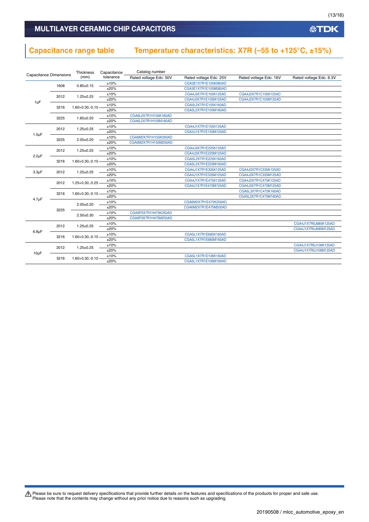### MULTILAYER CERAMIC CHIP CAPACITORS

### **Capacitance range table Temperature characteristics: X7R (–55 to +125°C, ±15%)**

| <b>Capacitance Dimensions</b> |                                                    | Thickness              | Capacitance          | Catalog number         |                        |                        |                         |  |  |
|-------------------------------|----------------------------------------------------|------------------------|----------------------|------------------------|------------------------|------------------------|-------------------------|--|--|
|                               |                                                    | (mm)                   | tolerance            | Rated voltage Edc: 50V | Rated voltage Edc: 25V | Rated voltage Edc: 16V | Rated voltage Edc: 6.3V |  |  |
|                               | 1608                                               | $0.80 + 0.15$          | ±10%                 |                        | CGA3E1X7R1E105K080AD   |                        |                         |  |  |
|                               |                                                    |                        | ±20%                 |                        | CGA3E1X7R1E105M080AD   |                        |                         |  |  |
|                               | 2012                                               | $1.25 \pm 0.25$        | ±10%                 |                        | CGA4J3X7R1E105K125AD   | CGA4J2X7R1C105K125AD   |                         |  |  |
|                               |                                                    |                        | ±20%                 |                        | CGA4J3X7R1E105M125AD   | CGA4J2X7R1C105M125AD   |                         |  |  |
| $1 \mu F$                     |                                                    |                        | ±10%                 |                        | CGA5L2X7R1E105K160AD   |                        |                         |  |  |
|                               | 3216                                               | 1.60+0.30,-0.10        | ±20%                 |                        | CGA5L2X7R1E105M160AD   |                        |                         |  |  |
|                               |                                                    |                        | ±10%                 | CGA6L2X7R1H105K160AD   |                        |                        |                         |  |  |
|                               | 3225                                               | $1.60 + 0.20$          | ±20%                 | CGA6L2X7R1H105M160AD   |                        |                        |                         |  |  |
|                               |                                                    |                        | ±10%                 |                        | CGA4J1X7R1E155K125AD   |                        |                         |  |  |
|                               | 2012<br>$1.5 \mu F$                                | $1.25 \pm 0.25$        | ±20%                 |                        | CGA4J1X7R1E155M125AD   |                        |                         |  |  |
|                               |                                                    |                        | ±10%                 | CGA6M2X7R1H155K200AD   |                        |                        |                         |  |  |
| 3225                          | $2.00 \pm 0.20$                                    | ±20%                   | CGA6M2X7R1H155M200AD |                        |                        |                        |                         |  |  |
|                               |                                                    |                        | ±10%                 |                        | CGA4J3X7R1E225K125AD   |                        |                         |  |  |
|                               | 2012<br>$2.2\mu F$<br>3216<br>$1.60 + 0.30, -0.10$ | $1.25 \pm 0.25$        | ±20%                 |                        | CGA4J3X7R1E225M125AD   |                        |                         |  |  |
|                               |                                                    |                        | ±10%                 |                        | CGA5L2X7R1E225K160AD   |                        |                         |  |  |
|                               |                                                    |                        | ±20%                 |                        | CGA5L2X7R1E225M160AD   |                        |                         |  |  |
|                               |                                                    |                        | ±10%                 |                        | CGA4J1X7R1E335K125AD   | CGA4J3X7R1C335K125AD   |                         |  |  |
| $3.3\mu F$                    | 2012                                               | $1.25 \pm 0.25$        | ±20%                 |                        | CGA4J1X7R1E335M125AD   | CGA4J3X7R1C335M125AD   |                         |  |  |
|                               |                                                    |                        | ±10%                 |                        | CGA4J1X7R1E475K125AD   | CGA4J3X7R1C475K125AD   |                         |  |  |
|                               | 2012                                               | 1.25+0.30,-0.25        | ±20%                 |                        | CGA4J1X7R1E475M125AD   | CGA4J3X7R1C475M125AD   |                         |  |  |
|                               |                                                    |                        | ±10%                 |                        |                        | CGA5L3X7R1C475K160AD   |                         |  |  |
|                               | 3216                                               | $1.60 + 0.30, -0.10 -$ | ±20%                 |                        |                        | CGA5L3X7R1C475M160AD   |                         |  |  |
| $4.7 \mu F$                   |                                                    |                        | ±10%                 |                        | CGA6M2X7R1E475K200AD   |                        |                         |  |  |
|                               |                                                    | $2.00 \pm 0.20$        | ±20%                 |                        | CGA6M2X7R1E475M200AD   |                        |                         |  |  |
|                               | 3225                                               |                        | ±10%                 | CGA6P3X7R1H475K250AD   |                        |                        |                         |  |  |
|                               |                                                    | $2.50 + 0.30$          | ±20%                 | CGA6P3X7R1H475M250AD   |                        |                        |                         |  |  |
|                               |                                                    |                        | ±10%                 |                        |                        |                        | CGA4J1X7R0J685K125AD    |  |  |
|                               | 2012<br>$6.8\mu F$<br>3216                         | $1.25 \pm 0.25$        | ±20%                 |                        |                        |                        | CGA4J1X7R0J685M125AD    |  |  |
|                               |                                                    |                        | ±10%                 |                        | CGA5L1X7R1E685K160AD   |                        |                         |  |  |
|                               |                                                    | $1.60 + 0.30, -0.10$   | ±20%                 |                        | CGA5L1X7R1E685M160AD   |                        |                         |  |  |
|                               |                                                    |                        | ±10%                 |                        |                        |                        | CGA4J1X7R0J106K125AD    |  |  |
|                               | 2012                                               | $1.25 \pm 0.25$        | ±20%                 |                        |                        |                        | CGA4J1X7R0J106M125AD    |  |  |
| $10\mu F$                     |                                                    |                        | ±10%                 |                        | CGA5L1X7R1E106K160AD   |                        |                         |  |  |
|                               |                                                    |                        | 3216                 | $1.60 + 0.30, -0.10$   | ±20%                   |                        | CGA5L1X7R1E106M160AD    |  |  |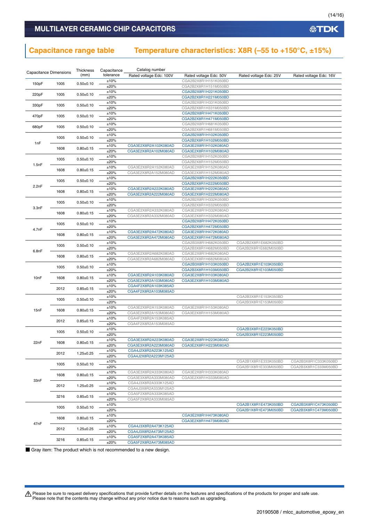### **Capacitance range table Temperature characteristics: X8R (–55 to +150°C, ±15%)**

| <b>Capacitance Dimensions</b> |      | Thickness       | Capacitance  | Catalog number                               |                                              |                        |                        |
|-------------------------------|------|-----------------|--------------|----------------------------------------------|----------------------------------------------|------------------------|------------------------|
|                               |      | (mm)            | tolerance    | Rated voltage Edc: 100V                      | Rated voltage Edc: 50V                       | Rated voltage Edc: 25V | Rated voltage Edc: 16V |
| 150pF                         | 1005 | $0.50 + 0.10$   | ±10%         |                                              | CGA2B2X8R1H151K050BD                         |                        |                        |
|                               |      |                 | ±20%         |                                              | CGA2B2X8R1H151M050BD                         |                        |                        |
| 220pF                         | 1005 | $0.50 + 0.10$   | ±10%         |                                              | CGA2B2X8R1H221K050BD                         |                        |                        |
|                               |      |                 | ±20%         |                                              | CGA2B2X8R1H221M050BD                         |                        |                        |
| 330pF                         | 1005 | $0.50 + 0.10$   | ±10%         |                                              | CGA2B2X8R1H331K050BD                         |                        |                        |
|                               |      |                 | ±20%         |                                              | CGA2B2X8R1H331M050BD                         |                        |                        |
| 470pF                         | 1005 | $0.50 + 0.10$   | ±10%         |                                              | CGA2B2X8R1H471K050BD                         |                        |                        |
|                               |      |                 | ±20%<br>±10% |                                              | CGA2B2X8R1H471M050BD<br>CGA2B2X8R1H681K050BD |                        |                        |
| 680pF                         | 1005 | $0.50 + 0.10$   | ±20%         |                                              | CGA2B2X8R1H681M050BD                         |                        |                        |
|                               |      |                 | ±10%         |                                              | CGA2B2X8R1H102K050BD                         |                        |                        |
|                               | 1005 | $0.50 \pm 0.10$ | ±20%         |                                              | CGA2B2X8R1H102M050BD                         |                        |                        |
| 1nF                           |      |                 | ±10%         | CGA3E2X8R2A102K080AD                         | CGA3E2X8R1H102K080AD                         |                        |                        |
|                               | 1608 | $0.80 + 0.15$   | ±20%         | CGA3E2X8R2A102M080AD                         | CGA3E2X8R1H102M080AD                         |                        |                        |
|                               |      |                 | ±10%         |                                              | CGA2B2X8R1H152K050BD                         |                        |                        |
| 1.5nF                         | 1005 | $0.50 \pm 0.10$ | ±20%         |                                              | CGA2B2X8R1H152M050BD                         |                        |                        |
|                               | 1608 | $0.80 + 0.15$   | ±10%         | CGA3E2X8R2A152K080AD                         | CGA3E2X8R1H152K080AD                         |                        |                        |
|                               |      |                 | ±20%         | CGA3E2X8R2A152M080AD                         | CGA3E2X8R1H152M080AD                         |                        |                        |
|                               | 1005 | $0.50 \pm 0.10$ | ±10%         |                                              | CGA2B2X8R1H222K050BD                         |                        |                        |
| 2.2nF                         |      |                 | ±20%         |                                              | CGA2B2X8R1H222M050BD                         |                        |                        |
|                               | 1608 | $0.80 + 0.15$   | ±10%         | CGA3E2X8R2A222K080AD                         | CGA3E2X8R1H222K080AD                         |                        |                        |
|                               |      |                 | ±20%         | CGA3E2X8R2A222M080AD                         | CGA3E2X8R1H222M080AD                         |                        |                        |
|                               | 1005 | $0.50 + 0.10$   | ±10%         |                                              | CGA2B2X8R1H332K050BD                         |                        |                        |
| 3.3nF                         |      |                 | ±20%         |                                              | CGA2B2X8R1H332M050BD                         |                        |                        |
|                               | 1608 | $0.80 + 0.15$   | ±10%<br>±20% | CGA3E2X8R2A332K080AD<br>CGA3E2X8R2A332M080AD | CGA3E2X8R1H332K080AD<br>CGA3E2X8R1H332M080AD |                        |                        |
|                               |      |                 | ±10%         |                                              | CGA2B2X8R1H472K050BD                         |                        |                        |
|                               | 1005 | $0.50 \pm 0.10$ | ±20%         |                                              | CGA2B2X8R1H472M050BD                         |                        |                        |
| 4.7nF                         |      |                 | ±10%         | CGA3E2X8R2A472K080AD                         | CGA3E2X8R1H472K080AD                         |                        |                        |
|                               | 1608 | $0.80 + 0.15$   | ±20%         | CGA3E2X8R2A472M080AD                         | CGA3E2X8R1H472M080AD                         |                        |                        |
|                               |      |                 | ±10%         |                                              | CGA2B3X8R1H682K050BD                         | CGA2B2X8R1E682K050BD   |                        |
|                               | 1005 | $0.50 \pm 0.10$ | ±20%         |                                              | CGA2B3X8R1H682M050BD                         | CGA2B2X8R1E682M050BD   |                        |
| 6.8nF                         |      |                 | ±10%         | CGA3E2X8R2A682K080AD                         | CGA3E2X8R1H682K080AD                         |                        |                        |
|                               | 1608 | $0.80 \pm 0.15$ | ±20%         | CGA3E2X8R2A682M080AD                         | CGA3E2X8R1H682M080AD                         |                        |                        |
|                               | 1005 | $0.50 \pm 0.10$ | ±10%         |                                              | CGA2B3X8R1H103K050BD                         | CGA2B2X8R1E103K050BD   |                        |
|                               |      |                 | ±20%         |                                              | CGA2B3X8R1H103M050BD                         | CGA2B2X8R1E103M050BD   |                        |
| 10 <sub>n</sub> F             | 1608 | $0.80 \pm 0.15$ | ±10%         | CGA3E2X8R2A103K080AD                         | CGA3E2X8R1H103K080AD                         |                        |                        |
|                               |      |                 | ±20%         | CGA3E2X8R2A103M080AD                         | CGA3E2X8R1H103M080AD                         |                        |                        |
|                               | 2012 | $0.85 \pm 0.15$ | ±10%         | CGA4F2X8R2A103K085AD                         |                                              |                        |                        |
|                               |      |                 | ±20%         | CGA4F2X8R2A103M085AD                         |                                              |                        |                        |
|                               | 1005 | $0.50 \pm 0.10$ | ±10%         |                                              |                                              | CGA2B3X8R1E153K050BD   |                        |
|                               |      |                 | ±20%<br>±10% | CGA3E2X8R2A153K080AD                         | CGA3E2X8R1H153K080AD                         | CGA2B3X8R1E153M050BD   |                        |
| 15nF                          | 1608 | $0.80 + 0.15$   | ±20%         | CGA3E2X8R2A153M080AD                         | CGA3E2X8R1H153M080AD                         |                        |                        |
|                               |      |                 | ±10%         | CGA4F2X8R2A153K085AD                         |                                              |                        |                        |
|                               | 2012 | $0.85 \pm 0.15$ | ±20%         | CGA4F2X8R2A153M085AD                         |                                              |                        |                        |
|                               |      |                 | ±10%         |                                              |                                              | CGA2B3X8R1E223K050BD   |                        |
|                               | 1005 | $0.50 \pm 0.10$ | ±20%         |                                              |                                              | CGA2B3X8R1E223M050BD   |                        |
| 22nF                          | 1608 | $0.80 + 0.15$   | ±10%         | CGA3E3X8R2A223K080AD                         | CGA3E2X8R1H223K080AD                         |                        |                        |
|                               |      |                 | ±20%         | CGA3E3X8R2A223M080AD                         | CGA3E2X8R1H223M080AD                         |                        |                        |
|                               | 2012 | $1.25 \pm 0.25$ | ±10%         | CGA4J2X8R2A223K125AD                         |                                              |                        |                        |
|                               |      |                 | ±20%         | CGA4J2X8R2A223M125AD                         |                                              |                        |                        |
|                               | 1005 | $0.50 \pm 0.10$ | ±10%         |                                              |                                              | CGA2B1X8R1E333K050BD   | CGA2B3X8R1C333K050BD   |
|                               |      |                 | ±20%         |                                              |                                              | CGA2B1X8R1E333M050BD   | CGA2B3X8R1C333M050BD   |
|                               | 1608 | $0.80 \pm 0.15$ | ±10%         | CGA3E3X8R2A333K080AD                         | CGA3E2X8R1H333K080AD                         |                        |                        |
| 33nF                          |      |                 | ±20%         | CGA3E3X8R2A333M080AD                         | CGA3E2X8R1H333M080AD                         |                        |                        |
|                               | 2012 | $1.25 \pm 0.25$ | ±10%<br>±20% | CGA4J3X8R2A333K125AD<br>CGA4J3X8R2A333M125AD |                                              |                        |                        |
|                               |      |                 | ±10%         | CGA5F2X8R2A333K085AD                         |                                              |                        |                        |
|                               | 3216 | $0.85 \pm 0.15$ | ±20%         | CGA5F2X8R2A333M085AD                         |                                              |                        |                        |
|                               |      |                 | ±10%         |                                              |                                              | CGA2B1X8R1E473K050BD   | CGA2B3X8R1C473K050BD   |
|                               | 1005 | $0.50 \pm 0.10$ | ±20%         |                                              |                                              | CGA2B1X8R1E473M050BD   | CGA2B3X8R1C473M050BD   |
|                               |      |                 | ±10%         |                                              | CGA3E2X8R1H473K080AD                         |                        |                        |
|                               | 1608 | $0.80 \pm 0.15$ | ±20%         |                                              | CGA3E2X8R1H473M080AD                         |                        |                        |
| 47nF                          |      |                 | ±10%         | CGA4J3X8R2A473K125AD                         |                                              |                        |                        |
|                               | 2012 | $1.25 \pm 0.25$ | ±20%         | CGA4J3X8R2A473M125AD                         |                                              |                        |                        |
|                               | 3216 | $0.85 \pm 0.15$ | ±10%         | CGA5F2X8R2A473K085AD                         |                                              |                        |                        |
|                               |      |                 | ±20%         | CGA5F2X8R2A473M085AD                         |                                              |                        |                        |

■ Gray item: The product which is not recommended to a new design.

Please be sure to request delivery specifications that provide further details on the features and specifications of the products for proper and safe use.<br>Please note that the contents may change without any prior notice d

**公TDK**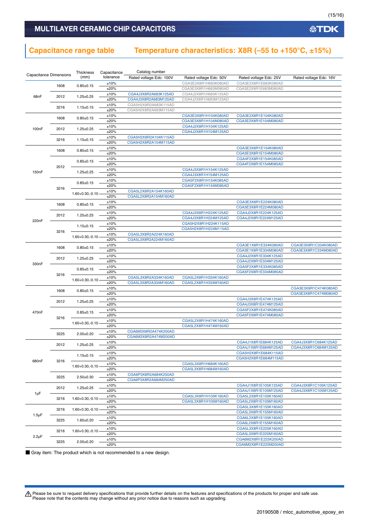### **Capacitance range table Temperature characteristics: X8R (–55 to +150°C, ±15%)**

|                               |                            | Thickness            | Capacitance  | Catalog number          |                                              |                                              |                        |
|-------------------------------|----------------------------|----------------------|--------------|-------------------------|----------------------------------------------|----------------------------------------------|------------------------|
| <b>Capacitance Dimensions</b> |                            | (mm)                 | tolerance    | Rated voltage Edc: 100V | Rated voltage Edc: 50V                       | Rated voltage Edc: 25V                       | Rated voltage Edc: 16V |
|                               | 1608                       | $0.80 + 0.15$        | ±10%         |                         | CGA3E3X8R1H683K080AD                         | CGA3E2X8R1E683K080AD                         |                        |
|                               |                            |                      | ±20%         |                         | CGA3E3X8R1H683M080AD                         | CGA3E2X8R1E683M080AD                         |                        |
| 68nF                          | 2012                       | $1.25 \pm 0.25$      | ±10%         | CGA4J3X8R2A683K125AD    | CGA4J2X8R1H683K125AD                         |                                              |                        |
|                               |                            |                      | ±20%         | CGA4J3X8R2A683M125AD    | CGA4J2X8R1H683M125AD                         |                                              |                        |
|                               | 3216                       | $1.15 \pm 0.15$      | ±10%         | CGA5H2X8R2A683K115AD    |                                              |                                              |                        |
|                               |                            |                      | ±20%         | CGA5H2X8R2A683M115AD    |                                              |                                              |                        |
|                               | 1608                       | $0.80 + 0.15$        | ±10%<br>±20% |                         | CGA3E3X8R1H104K080AD<br>CGA3E3X8R1H104M080AD | CGA3E2X8R1E104K080AD<br>CGA3E2X8R1E104M080AD |                        |
|                               |                            |                      | ±10%         |                         | CGA4J2X8R1H104K125AD                         |                                              |                        |
| 100 <sub>n</sub> F            | 2012                       | $1.25 \pm 0.25$      | ±20%         |                         | CGA4J2X8R1H104M125AD                         |                                              |                        |
|                               |                            |                      | ±10%         | CGA5H2X8R2A104K115AD    |                                              |                                              |                        |
|                               | 3216                       | $1.15 \pm 0.15$      | ±20%         | CGA5H2X8R2A104M115AD    |                                              |                                              |                        |
|                               |                            |                      | ±10%         |                         |                                              | CGA3E3X8R1E154K080AD                         |                        |
|                               | 1608                       | $0.80 + 0.15$        | ±20%         |                         |                                              | CGA3E3X8R1E154M080AD                         |                        |
|                               |                            | $0.85 \pm 0.15$      | ±10%         |                         |                                              | CGA4F2X8R1E154K085AD                         |                        |
|                               | 2012                       |                      | ±20%         |                         |                                              | CGA4F2X8R1E154M085AD                         |                        |
| 150 <sub>n</sub> F            |                            | $1.25 \pm 0.25$      | ±10%         |                         | CGA4J3X8R1H154K125AD                         |                                              |                        |
|                               |                            |                      | ±20%         |                         | CGA4J3X8R1H154M125AD                         |                                              |                        |
|                               |                            | $0.85 \pm 0.15$      | ±10%         |                         | CGA5F2X8R1H154K085AD                         |                                              |                        |
|                               | 3216                       |                      | ±20%<br>±10% | CGA5L2X8R2A154K160AD    | CGA5F2X8R1H154M085AD                         |                                              |                        |
|                               |                            | $1.60 + 0.30, -0.10$ | ±20%         | CGA5L2X8R2A154M160AD    |                                              |                                              |                        |
|                               |                            |                      | ±10%         |                         |                                              | CGA3E3X8R1E224K080AD                         |                        |
|                               | 1608                       | $0.80 + 0.15$        | ±20%         |                         |                                              | CGA3E3X8R1E224M080AD                         |                        |
|                               |                            |                      | ±10%         |                         | CGA4J3X8R1H224K125AD                         | CGA4J2X8R1E224K125AD                         |                        |
|                               | 2012                       | $1.25 \pm 0.25$      | ±20%         |                         | CGA4J3X8R1H224M125AD                         | CGA4J2X8R1E224M125AD                         |                        |
| 220nF                         |                            |                      | ±10%         |                         | CGA5H2X8R1H224K115AD                         |                                              |                        |
|                               | 3216                       | $1.15 \pm 0.15$      | ±20%         |                         | CGA5H2X8R1H224M115AD                         |                                              |                        |
|                               |                            | $1.60 + 0.30, -0.10$ | ±10%         | CGA5L3X8R2A224K160AD    |                                              |                                              |                        |
|                               |                            |                      | ±20%         | CGA5L3X8R2A224M160AD    |                                              |                                              |                        |
|                               | 1608                       | $0.80 \pm 0.15$      | ±10%         |                         |                                              | CGA3E1X8R1E334K080AD                         | CGA3E3X8R1C334K080AD   |
|                               |                            |                      | ±20%         |                         |                                              | CGA3E1X8R1E334M080AD                         | CGA3E3X8R1C334M080AD   |
|                               | 2012                       | $1.25 \pm 0.25$      | ±10%         |                         |                                              | CGA4J2X8R1E334K125AD                         |                        |
| 330 <sub>n</sub> F            |                            |                      | ±20%<br>±10% |                         |                                              | CGA4J2X8R1E334M125AD<br>CGA5F2X8R1E334K085AD |                        |
|                               |                            | $0.85 \pm 0.15$      | ±20%         |                         |                                              | CGA5F2X8R1E334M085AD                         |                        |
|                               | 3216                       |                      | ±10%         | CGA5L3X8R2A334K160AD    | CGA5L2X8R1H334K160AD                         |                                              |                        |
|                               |                            | $1.60 + 0.30, -0.10$ | ±20%         | CGA5L3X8R2A334M160AD    | CGA5L2X8R1H334M160AD                         |                                              |                        |
|                               |                            |                      | ±10%         |                         |                                              |                                              | CGA3E3X8R1C474K080AD   |
|                               | 1608                       | $0.80 + 0.15$        | ±20%         |                         |                                              |                                              | CGA3E3X8R1C474M080AD   |
|                               | 2012                       | $1.25 \pm 0.25$      | ±10%         |                         |                                              | CGA4J3X8R1E474K125AD                         |                        |
|                               |                            |                      | ±20%         |                         |                                              | CGA4J3X8R1E474M125AD                         |                        |
| 470nF                         |                            | $0.85 + 0.15$        | ±10%         |                         |                                              | CGA5F2X8R1E474K085AD                         |                        |
|                               | 3216                       |                      | ±20%         |                         |                                              | CGA5F2X8R1E474M085AD                         |                        |
|                               |                            | $1.60 + 0.30, -0.10$ | ±10%         |                         | CGA5L2X8R1H474K160AD                         |                                              |                        |
|                               |                            |                      | ±20%<br>±10% | CGA6M3X8R2A474K200AD    | CGA5L2X8R1H474M160AD                         |                                              |                        |
|                               | 3225                       | $2.00 \pm 0.20$      | ±20%         | CGA6M3X8R2A474M200AD    |                                              |                                              |                        |
|                               |                            |                      | ±10%         |                         |                                              | CGA4J1X8R1E684K125AD                         | CGA4J3X8R1C684K125AD   |
|                               | 2012                       | $1.25 \pm 0.25$      | $±20\%$      |                         |                                              | CGA4J1X8R1E684M125AD                         | CGA4J3X8R1C684M125AD   |
|                               |                            |                      | ±10%         |                         |                                              | CGA5H2X8R1E684K115AD                         |                        |
|                               |                            | $1.15 \pm 0.15$      | ±20%         |                         |                                              | CGA5H2X8R1E684M115AD                         |                        |
| 680nF                         | 3216                       |                      | ±10%         |                         | CGA5L3X8R1H684K160AD                         |                                              |                        |
|                               |                            | $1.60 + 0.30, -0.10$ | ±20%         |                         | CGA5L3X8R1H684M160AD                         |                                              |                        |
|                               | 3225                       | $2.50 \pm 0.30$      | ±10%         | CGA6P3X8R2A684K250AD    |                                              |                                              |                        |
|                               |                            |                      | ±20%         | CGA6P3X8R2A684M250AD    |                                              |                                              |                        |
|                               | 2012                       | $1.25 \pm 0.25$      | ±10%         |                         |                                              | CGA4J1X8R1E105K125AD                         | CGA4J3X8R1C105K125AD   |
| 1µF                           |                            |                      | ±20%         |                         |                                              | CGA4J1X8R1E105M125AD                         | CGA4J3X8R1C105M125AD   |
|                               | 3216                       | $1.60 + 0.30, -0.10$ | ±10%<br>±20% |                         | CGA5L3X8R1H105K160AD<br>CGA5L3X8R1H105M160AD | CGA5L2X8R1E105K160AD                         |                        |
|                               |                            |                      |              |                         |                                              | CGA5L2X8R1E105M160AD                         |                        |
|                               | 3216                       | $1.60 + 0.30, -0.10$ | ±10%<br>±20% |                         |                                              | CGA5L3X8R1E155K160AD<br>CGA5L3X8R1E155M160AD |                        |
| $1.5 \mu F$                   |                            |                      | ±10%         |                         |                                              | CGA6L2X8R1E155K160AD                         |                        |
|                               | 3225                       | $1.60 \pm 0.20$      | ±20%         |                         |                                              | CGA6L2X8R1E155M160AD                         |                        |
|                               |                            |                      | ±10%         |                         |                                              | CGA5L3X8R1E225K160AD                         |                        |
|                               | 3216<br>$2.2\mu F$<br>3225 | $1.60 + 0.30, -0.10$ | ±20%         |                         |                                              | CGA5L3X8R1E225M160AD                         |                        |
|                               |                            | $2.00 \pm 0.20$      | ±10%         |                         |                                              | CGA6M2X8R1E225K200AD                         |                        |
|                               |                            |                      | ±20%         |                         |                                              | CGA6M2X8R1E225M200AD                         |                        |

■ Gray item: The product which is not recommended to a new design.

Please be sure to request delivery specifications that provide further details on the features and specifications of the products for proper and safe use.<br>Please note that the contents may change without any prior notice d

**公TDK**